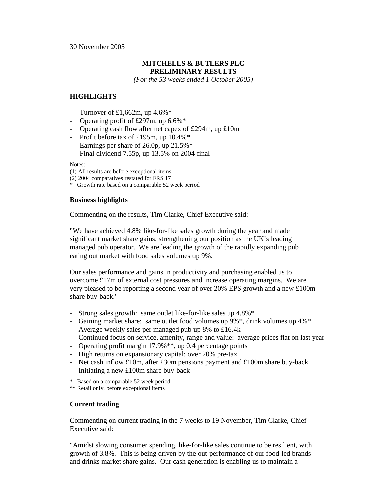## 30 November 2005

# **MITCHELLS & BUTLERS PLC PRELIMINARY RESULTS**

*(For the 53 weeks ended 1 October 2005)* 

# **HIGHLIGHTS**

- Turnover of  $\text{\pounds}1,662$ m, up  $4.6\%$ <sup>\*</sup>
- Operating profit of £297m, up 6.6%\*
- Operating cash flow after net capex of £294m, up £10m
- Profit before tax of £195m, up 10.4%\*
- Earnings per share of 26.0p, up 21.5%\*
- Final dividend 7.55p, up 13.5% on 2004 final

Notes:

(1) All results are before exceptional items

- (2) 2004 comparatives restated for FRS 17
- \* Growth rate based on a comparable 52 week period

# **Business highlights**

Commenting on the results, Tim Clarke, Chief Executive said:

"We have achieved 4.8% like-for-like sales growth during the year and made significant market share gains, strengthening our position as the UK's leading managed pub operator. We are leading the growth of the rapidly expanding pub eating out market with food sales volumes up 9%.

Our sales performance and gains in productivity and purchasing enabled us to overcome £17m of external cost pressures and increase operating margins. We are very pleased to be reporting a second year of over 20% EPS growth and a new £100m share buy-back."

- Strong sales growth: same outlet like-for-like sales up 4.8%\*
- Gaining market share: same outlet food volumes up 9%\*, drink volumes up 4%\*
- Average weekly sales per managed pub up 8% to £16.4k
- Continued focus on service, amenity, range and value: average prices flat on last year
- Operating profit margin 17.9%<sup>\*\*</sup>, up 0.4 percentage points
- High returns on expansionary capital: over 20% pre-tax
- Net cash inflow £10m, after £30m pensions payment and £100m share buy-back
- Initiating a new £100m share buy-back
- \* Based on a comparable 52 week period
- \*\* Retail only, before exceptional items

# **Current trading**

Commenting on current trading in the 7 weeks to 19 November, Tim Clarke, Chief Executive said:

"Amidst slowing consumer spending, like-for-like sales continue to be resilient, with growth of 3.8%. This is being driven by the out-performance of our food-led brands and drinks market share gains. Our cash generation is enabling us to maintain a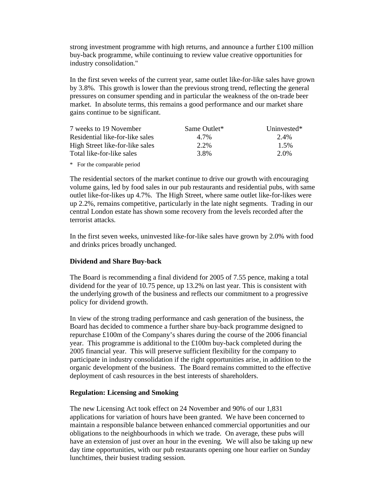strong investment programme with high returns, and announce a further £100 million buy-back programme, while continuing to review value creative opportunities for industry consolidation."

In the first seven weeks of the current year, same outlet like-for-like sales have grown by 3.8%. This growth is lower than the previous strong trend, reflecting the general pressures on consumer spending and in particular the weakness of the on-trade beer market. In absolute terms, this remains a good performance and our market share gains continue to be significant.

| 7 weeks to 19 November          | Same Outlet* | Uninvested* |
|---------------------------------|--------------|-------------|
| Residential like-for-like sales | 4.7%         | 2.4%        |
| High Street like-for-like sales | 2.2%         | 1.5%        |
| Total like-for-like sales       | 3.8%         | 2.0%        |

\* For the comparable period

The residential sectors of the market continue to drive our growth with encouraging volume gains, led by food sales in our pub restaurants and residential pubs, with same outlet like-for-likes up 4.7%. The High Street, where same outlet like-for-likes were up 2.2%, remains competitive, particularly in the late night segments. Trading in our central London estate has shown some recovery from the levels recorded after the terrorist attacks.

In the first seven weeks, uninvested like-for-like sales have grown by 2.0% with food and drinks prices broadly unchanged.

## **Dividend and Share Buy-back**

The Board is recommending a final dividend for 2005 of 7.55 pence, making a total dividend for the year of 10.75 pence, up 13.2% on last year. This is consistent with the underlying growth of the business and reflects our commitment to a progressive policy for dividend growth.

In view of the strong trading performance and cash generation of the business, the Board has decided to commence a further share buy-back programme designed to repurchase £100m of the Company's shares during the course of the 2006 financial year. This programme is additional to the £100m buy-back completed during the 2005 financial year. This will preserve sufficient flexibility for the company to participate in industry consolidation if the right opportunities arise, in addition to the organic development of the business. The Board remains committed to the effective deployment of cash resources in the best interests of shareholders.

## **Regulation: Licensing and Smoking**

The new Licensing Act took effect on 24 November and 90% of our 1,831 applications for variation of hours have been granted. We have been concerned to maintain a responsible balance between enhanced commercial opportunities and our obligations to the neighbourhoods in which we trade. On average, these pubs will have an extension of just over an hour in the evening. We will also be taking up new day time opportunities, with our pub restaurants opening one hour earlier on Sunday lunchtimes, their busiest trading session.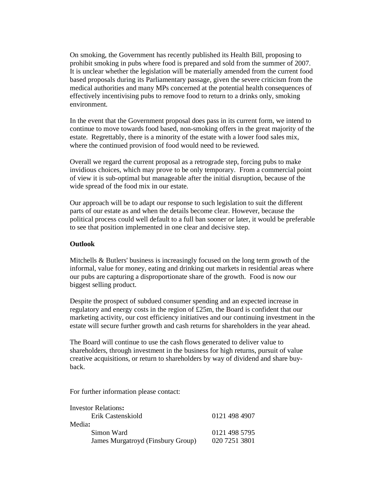On smoking, the Government has recently published its Health Bill, proposing to prohibit smoking in pubs where food is prepared and sold from the summer of 2007. It is unclear whether the legislation will be materially amended from the current food based proposals during its Parliamentary passage, given the severe criticism from the medical authorities and many MPs concerned at the potential health consequences of effectively incentivising pubs to remove food to return to a drinks only, smoking environment.

In the event that the Government proposal does pass in its current form, we intend to continue to move towards food based, non-smoking offers in the great majority of the estate. Regrettably, there is a minority of the estate with a lower food sales mix, where the continued provision of food would need to be reviewed.

Overall we regard the current proposal as a retrograde step, forcing pubs to make invidious choices, which may prove to be only temporary. From a commercial point of view it is sub-optimal but manageable after the initial disruption, because of the wide spread of the food mix in our estate.

Our approach will be to adapt our response to such legislation to suit the different parts of our estate as and when the details become clear. However, because the political process could well default to a full ban sooner or later, it would be preferable to see that position implemented in one clear and decisive step.

# **Outlook**

Mitchells & Butlers' business is increasingly focused on the long term growth of the informal, value for money, eating and drinking out markets in residential areas where our pubs are capturing a disproportionate share of the growth. Food is now our biggest selling product.

Despite the prospect of subdued consumer spending and an expected increase in regulatory and energy costs in the region of £25m, the Board is confident that our marketing activity, our cost efficiency initiatives and our continuing investment in the estate will secure further growth and cash returns for shareholders in the year ahead.

The Board will continue to use the cash flows generated to deliver value to shareholders, through investment in the business for high returns, pursuit of value creative acquisitions, or return to shareholders by way of dividend and share buyback.

For further information please contact:

| <b>Investor Relations:</b>        |               |
|-----------------------------------|---------------|
| Erik Castenskiold                 | 0121 498 4907 |
| Media:                            |               |
| Simon Ward                        | 0121 498 5795 |
| James Murgatroyd (Finsbury Group) | 020 7251 3801 |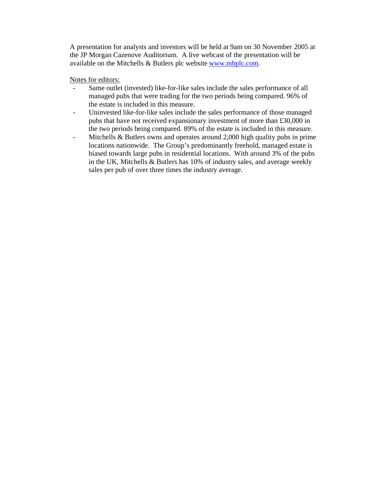A presentation for analysts and investors will be held at 9am on 30 November 2005 at the JP Morgan Cazenove Auditorium. A live webcast of the presentation will be available on the Mitchells & Butlers plc website www.mbplc.com.

Notes for editors:

- Same outlet (invested) like-for-like sales include the sales performance of all managed pubs that were trading for the two periods being compared. 96% of the estate is included in this measure.
- Uninvested like-for-like sales include the sales performance of those managed pubs that have not received expansionary investment of more than £30,000 in the two periods being compared. 89% of the estate is included in this measure.
- Mitchells & Butlers owns and operates around 2,000 high quality pubs in prime locations nationwide. The Group's predominantly freehold, managed estate is biased towards large pubs in residential locations. With around 3% of the pubs in the UK, Mitchells & Butlers has 10% of industry sales, and average weekly sales per pub of over three times the industry average.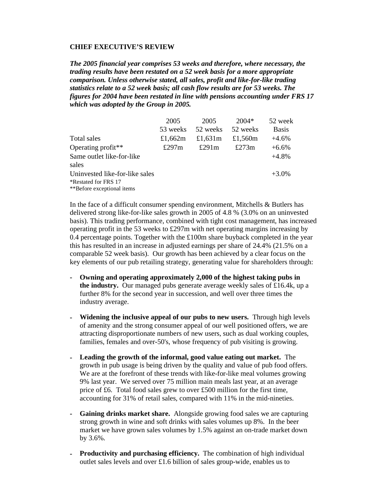## **CHIEF EXECUTIVE'S REVIEW**

*The 2005 financial year comprises 53 weeks and therefore, where necessary, the trading results have been restated on a 52 week basis for a more appropriate comparison. Unless otherwise stated, all sales, profit and like-for-like trading statistics relate to a 52 week basis; all cash flow results are for 53 weeks. The figures for 2004 have been restated in line with pensions accounting under FRS 17 which was adopted by the Group in 2005.*

|                                | 2005       | 2005       | $2004*$    | 52 week      |
|--------------------------------|------------|------------|------------|--------------|
|                                | 53 weeks   | 52 weeks   | 52 weeks   | <b>Basis</b> |
| Total sales                    | £1,662 $m$ | £1,631 $m$ | £1,560 $m$ | $+4.6%$      |
| Operating profit**             | £297 $m$   | £291 $m$   | £273 $m$   | $+6.6%$      |
| Same outlet like-for-like      |            |            |            | $+4.8%$      |
| sales                          |            |            |            |              |
| Uninvested like-for-like sales |            |            |            | $+3.0\%$     |
| *Restated for FRS 17           |            |            |            |              |
| **Before exceptional items     |            |            |            |              |

In the face of a difficult consumer spending environment, Mitchells & Butlers has delivered strong like-for-like sales growth in 2005 of 4.8 % (3.0% on an uninvested basis). This trading performance, combined with tight cost management, has increased operating profit in the 53 weeks to £297m with net operating margins increasing by  $0.4$  percentage points. Together with the £100m share buyback completed in the year this has resulted in an increase in adjusted earnings per share of 24.4% (21.5% on a comparable 52 week basis). Our growth has been achieved by a clear focus on the key elements of our pub retailing strategy, generating value for shareholders through:

- **Owning and operating approximately 2,000 of the highest taking pubs in the industry.** Our managed pubs generate average weekly sales of £16.4k, up a further 8% for the second year in succession, and well over three times the industry average.
- **Widening the inclusive appeal of our pubs to new users.** Through high levels of amenity and the strong consumer appeal of our well positioned offers, we are attracting disproportionate numbers of new users, such as dual working couples, families, females and over-50's, whose frequency of pub visiting is growing.
- **Leading the growth of the informal, good value eating out market.** The growth in pub usage is being driven by the quality and value of pub food offers. We are at the forefront of these trends with like-for-like meal volumes growing 9% last year. We served over 75 million main meals last year, at an average price of £6. Total food sales grew to over £500 million for the first time, accounting for 31% of retail sales, compared with 11% in the mid-nineties.
- **Gaining drinks market share.** Alongside growing food sales we are capturing strong growth in wine and soft drinks with sales volumes up 8%. In the beer market we have grown sales volumes by 1.5% against an on-trade market down by 3.6%.
- **Productivity and purchasing efficiency.** The combination of high individual outlet sales levels and over £1.6 billion of sales group-wide, enables us to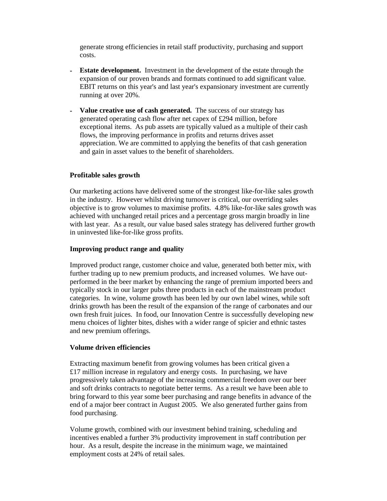generate strong efficiencies in retail staff productivity, purchasing and support costs.

- **Estate development.** Investment in the development of the estate through the expansion of our proven brands and formats continued to add significant value. EBIT returns on this year's and last year's expansionary investment are currently running at over 20%.
- **Value creative use of cash generated.** The success of our strategy has generated operating cash flow after net capex of £294 million, before exceptional items. As pub assets are typically valued as a multiple of their cash flows, the improving performance in profits and returns drives asset appreciation. We are committed to applying the benefits of that cash generation and gain in asset values to the benefit of shareholders.

## **Profitable sales growth**

Our marketing actions have delivered some of the strongest like-for-like sales growth in the industry. However whilst driving turnover is critical, our overriding sales objective is to grow volumes to maximise profits. 4.8% like-for-like sales growth was achieved with unchanged retail prices and a percentage gross margin broadly in line with last year. As a result, our value based sales strategy has delivered further growth in uninvested like-for-like gross profits.

## **Improving product range and quality**

Improved product range, customer choice and value, generated both better mix, with further trading up to new premium products, and increased volumes. We have outperformed in the beer market by enhancing the range of premium imported beers and typically stock in our larger pubs three products in each of the mainstream product categories. In wine, volume growth has been led by our own label wines, while soft drinks growth has been the result of the expansion of the range of carbonates and our own fresh fruit juices. In food, our Innovation Centre is successfully developing new menu choices of lighter bites, dishes with a wider range of spicier and ethnic tastes and new premium offerings.

## **Volume driven efficiencies**

Extracting maximum benefit from growing volumes has been critical given a £17 million increase in regulatory and energy costs. In purchasing, we have progressively taken advantage of the increasing commercial freedom over our beer and soft drinks contracts to negotiate better terms. As a result we have been able to bring forward to this year some beer purchasing and range benefits in advance of the end of a major beer contract in August 2005. We also generated further gains from food purchasing.

Volume growth, combined with our investment behind training, scheduling and incentives enabled a further 3% productivity improvement in staff contribution per hour. As a result, despite the increase in the minimum wage, we maintained employment costs at 24% of retail sales.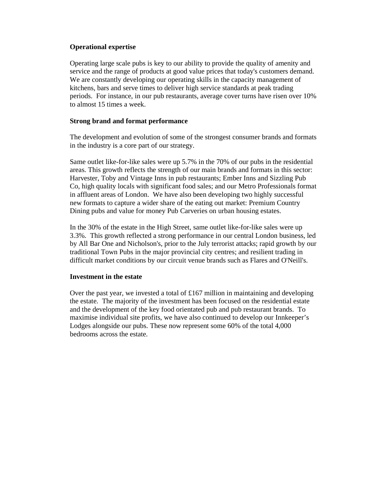# **Operational expertise**

Operating large scale pubs is key to our ability to provide the quality of amenity and service and the range of products at good value prices that today's customers demand. We are constantly developing our operating skills in the capacity management of kitchens, bars and serve times to deliver high service standards at peak trading periods. For instance, in our pub restaurants, average cover turns have risen over 10% to almost 15 times a week.

# **Strong brand and format performance**

The development and evolution of some of the strongest consumer brands and formats in the industry is a core part of our strategy.

Same outlet like-for-like sales were up 5.7% in the 70% of our pubs in the residential areas. This growth reflects the strength of our main brands and formats in this sector: Harvester, Toby and Vintage Inns in pub restaurants; Ember Inns and Sizzling Pub Co, high quality locals with significant food sales; and our Metro Professionals format in affluent areas of London. We have also been developing two highly successful new formats to capture a wider share of the eating out market: Premium Country Dining pubs and value for money Pub Carveries on urban housing estates.

In the 30% of the estate in the High Street, same outlet like-for-like sales were up 3.3%. This growth reflected a strong performance in our central London business, led by All Bar One and Nicholson's, prior to the July terrorist attacks; rapid growth by our traditional Town Pubs in the major provincial city centres; and resilient trading in difficult market conditions by our circuit venue brands such as Flares and O'Neill's.

# **Investment in the estate**

Over the past year, we invested a total of £167 million in maintaining and developing the estate. The majority of the investment has been focused on the residential estate and the development of the key food orientated pub and pub restaurant brands. To maximise individual site profits, we have also continued to develop our Innkeeper's Lodges alongside our pubs. These now represent some 60% of the total 4,000 bedrooms across the estate.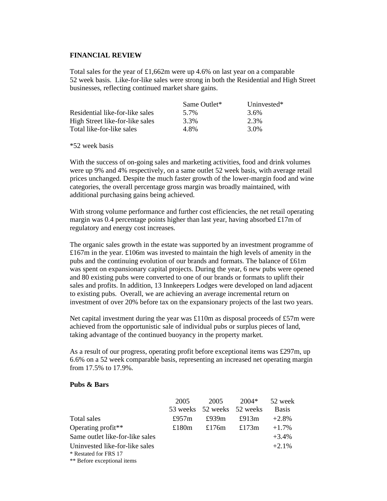## **FINANCIAL REVIEW**

Total sales for the year of  $\pounds1,662m$  were up 4.6% on last year on a comparable 52 week basis. Like-for-like sales were strong in both the Residential and High Street businesses, reflecting continued market share gains.

|                                 | Same Outlet* | Uninvested $*$ |
|---------------------------------|--------------|----------------|
| Residential like-for-like sales | 5.7%         | 3.6%           |
| High Street like-for-like sales | 3.3%         | 2.3%           |
| Total like-for-like sales       | 4 8%         | 3.0%           |

\*52 week basis

With the success of on-going sales and marketing activities, food and drink volumes were up 9% and 4% respectively, on a same outlet 52 week basis, with average retail prices unchanged. Despite the much faster growth of the lower-margin food and wine categories, the overall percentage gross margin was broadly maintained, with additional purchasing gains being achieved.

With strong volume performance and further cost efficiencies, the net retail operating margin was 0.4 percentage points higher than last year, having absorbed £17m of regulatory and energy cost increases.

The organic sales growth in the estate was supported by an investment programme of £167m in the year. £106m was invested to maintain the high levels of amenity in the pubs and the continuing evolution of our brands and formats. The balance of £61m was spent on expansionary capital projects. During the year, 6 new pubs were opened and 80 existing pubs were converted to one of our brands or formats to uplift their sales and profits. In addition, 13 Innkeepers Lodges were developed on land adjacent to existing pubs. Overall, we are achieving an average incremental return on investment of over 20% before tax on the expansionary projects of the last two years.

Net capital investment during the year was £110m as disposal proceeds of £57m were achieved from the opportunistic sale of individual pubs or surplus pieces of land, taking advantage of the continued buoyancy in the property market.

As a result of our progress, operating profit before exceptional items was £297m, up 6.6% on a 52 week comparable basis, representing an increased net operating margin from 17.5% to 17.9%.

## **Pubs & Bars**

|                                 | 2005     | 2005                       | $2004*$  | 52 week      |
|---------------------------------|----------|----------------------------|----------|--------------|
|                                 |          | 53 weeks 52 weeks 52 weeks |          | <b>Basis</b> |
| Total sales                     | £957 $m$ | £939 $m$                   | £913 $m$ | $+2.8%$      |
| Operating profit**              | £180 $m$ | £176 $m$                   | £173 $m$ | $+1.7%$      |
| Same outlet like-for-like sales |          |                            |          | $+3.4%$      |
| Uninvested like-for-like sales  |          |                            |          | $+2.1%$      |
| * Restated for FRS 17           |          |                            |          |              |
| ** Before exceptional items     |          |                            |          |              |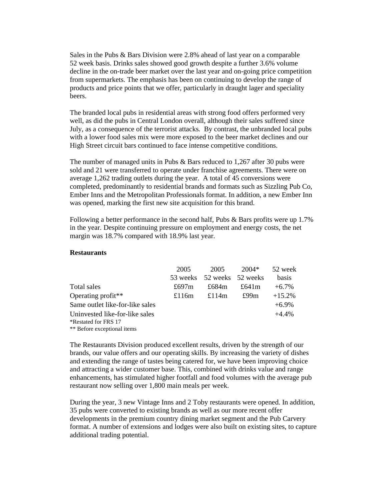Sales in the Pubs & Bars Division were 2.8% ahead of last year on a comparable 52 week basis. Drinks sales showed good growth despite a further 3.6% volume decline in the on-trade beer market over the last year and on-going price competition from supermarkets. The emphasis has been on continuing to develop the range of products and price points that we offer, particularly in draught lager and speciality beers.

The branded local pubs in residential areas with strong food offers performed very well, as did the pubs in Central London overall, although their sales suffered since July, as a consequence of the terrorist attacks. By contrast, the unbranded local pubs with a lower food sales mix were more exposed to the beer market declines and our High Street circuit bars continued to face intense competitive conditions.

The number of managed units in Pubs & Bars reduced to 1,267 after 30 pubs were sold and 21 were transferred to operate under franchise agreements. There were on average 1,262 trading outlets during the year. A total of 45 conversions were completed, predominantly to residential brands and formats such as Sizzling Pub Co, Ember Inns and the Metropolitan Professionals format. In addition, a new Ember Inn was opened, marking the first new site acquisition for this brand.

Following a better performance in the second half, Pubs & Bars profits were up 1.7% in the year. Despite continuing pressure on employment and energy costs, the net margin was 18.7% compared with 18.9% last year.

## **Restaurants**

|                                 | 2005     | 2005                       | 2004*    | 52 week      |
|---------------------------------|----------|----------------------------|----------|--------------|
|                                 |          | 53 weeks 52 weeks 52 weeks |          | <b>basis</b> |
| Total sales                     | £697 $m$ | £684 $m$                   | £641 $m$ | $+6.7\%$     |
| Operating profit**              | £116 $m$ | £114 $m$                   | £99 $m$  | $+15.2%$     |
| Same outlet like-for-like sales |          |                            |          | $+6.9\%$     |
| Uninvested like-for-like sales  |          |                            |          | $+4.4%$      |
| *Restated for FRS 17            |          |                            |          |              |
| ** Before exceptional items     |          |                            |          |              |

The Restaurants Division produced excellent results, driven by the strength of our brands, our value offers and our operating skills. By increasing the variety of dishes and extending the range of tastes being catered for, we have been improving choice and attracting a wider customer base. This, combined with drinks value and range enhancements, has stimulated higher footfall and food volumes with the average pub restaurant now selling over 1,800 main meals per week.

During the year, 3 new Vintage Inns and 2 Toby restaurants were opened. In addition, 35 pubs were converted to existing brands as well as our more recent offer developments in the premium country dining market segment and the Pub Carvery format. A number of extensions and lodges were also built on existing sites, to capture additional trading potential.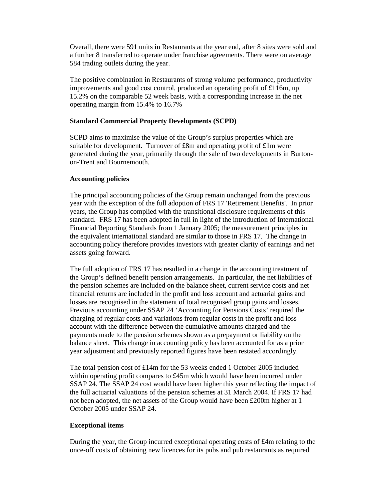Overall, there were 591 units in Restaurants at the year end, after 8 sites were sold and a further 8 transferred to operate under franchise agreements. There were on average 584 trading outlets during the year.

The positive combination in Restaurants of strong volume performance, productivity improvements and good cost control, produced an operating profit of £116m, up 15.2% on the comparable 52 week basis, with a corresponding increase in the net operating margin from 15.4% to 16.7%

## **Standard Commercial Property Developments (SCPD)**

SCPD aims to maximise the value of the Group's surplus properties which are suitable for development. Turnover of £8m and operating profit of £1m were generated during the year, primarily through the sale of two developments in Burtonon-Trent and Bournemouth.

## **Accounting policies**

The principal accounting policies of the Group remain unchanged from the previous year with the exception of the full adoption of FRS 17 'Retirement Benefits'. In prior years, the Group has complied with the transitional disclosure requirements of this standard. FRS 17 has been adopted in full in light of the introduction of International Financial Reporting Standards from 1 January 2005; the measurement principles in the equivalent international standard are similar to those in FRS 17. The change in accounting policy therefore provides investors with greater clarity of earnings and net assets going forward.

The full adoption of FRS 17 has resulted in a change in the accounting treatment of the Group's defined benefit pension arrangements. In particular, the net liabilities of the pension schemes are included on the balance sheet, current service costs and net financial returns are included in the profit and loss account and actuarial gains and losses are recognised in the statement of total recognised group gains and losses. Previous accounting under SSAP 24 'Accounting for Pensions Costs' required the charging of regular costs and variations from regular costs in the profit and loss account with the difference between the cumulative amounts charged and the payments made to the pension schemes shown as a prepayment or liability on the balance sheet. This change in accounting policy has been accounted for as a prior year adjustment and previously reported figures have been restated accordingly.

The total pension cost of £14m for the 53 weeks ended 1 October 2005 included within operating profit compares to £45m which would have been incurred under SSAP 24. The SSAP 24 cost would have been higher this year reflecting the impact of the full actuarial valuations of the pension schemes at 31 March 2004. If FRS 17 had not been adopted, the net assets of the Group would have been £200m higher at 1 October 2005 under SSAP 24.

# **Exceptional items**

During the year, the Group incurred exceptional operating costs of £4m relating to the once-off costs of obtaining new licences for its pubs and pub restaurants as required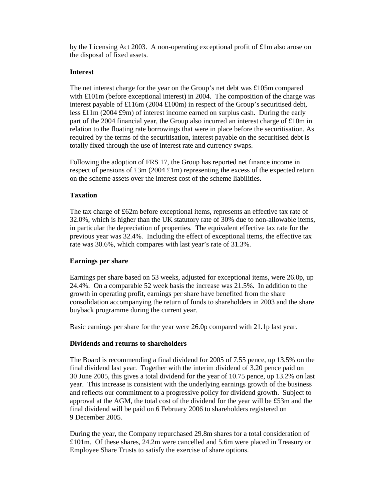by the Licensing Act 2003. A non-operating exceptional profit of £1m also arose on the disposal of fixed assets.

# **Interest**

The net interest charge for the year on the Group's net debt was £105m compared with  $£101m$  (before exceptional interest) in 2004. The composition of the charge was interest payable of £116m (2004 £100m) in respect of the Group's securitised debt, less £11m (2004 £9m) of interest income earned on surplus cash. During the early part of the 2004 financial year, the Group also incurred an interest charge of £10m in relation to the floating rate borrowings that were in place before the securitisation. As required by the terms of the securitisation, interest payable on the securitised debt is totally fixed through the use of interest rate and currency swaps.

Following the adoption of FRS 17, the Group has reported net finance income in respect of pensions of £3m (2004 £1m) representing the excess of the expected return on the scheme assets over the interest cost of the scheme liabilities.

# **Taxation**

The tax charge of £62m before exceptional items, represents an effective tax rate of 32.0%, which is higher than the UK statutory rate of 30% due to non-allowable items, in particular the depreciation of properties. The equivalent effective tax rate for the previous year was 32.4%. Including the effect of exceptional items, the effective tax rate was 30.6%, which compares with last year's rate of 31.3%.

# **Earnings per share**

Earnings per share based on 53 weeks, adjusted for exceptional items, were 26.0p, up 24.4%. On a comparable 52 week basis the increase was 21.5%. In addition to the growth in operating profit, earnings per share have benefited from the share consolidation accompanying the return of funds to shareholders in 2003 and the share buyback programme during the current year.

Basic earnings per share for the year were 26.0p compared with 21.1p last year.

# **Dividends and returns to shareholders**

The Board is recommending a final dividend for 2005 of 7.55 pence, up 13.5% on the final dividend last year. Together with the interim dividend of 3.20 pence paid on 30 June 2005, this gives a total dividend for the year of 10.75 pence, up 13.2% on last year. This increase is consistent with the underlying earnings growth of the business and reflects our commitment to a progressive policy for dividend growth. Subject to approval at the AGM, the total cost of the dividend for the year will be £53m and the final dividend will be paid on 6 February 2006 to shareholders registered on 9 December 2005.

During the year, the Company repurchased 29.8m shares for a total consideration of £101m. Of these shares, 24.2m were cancelled and 5.6m were placed in Treasury or Employee Share Trusts to satisfy the exercise of share options.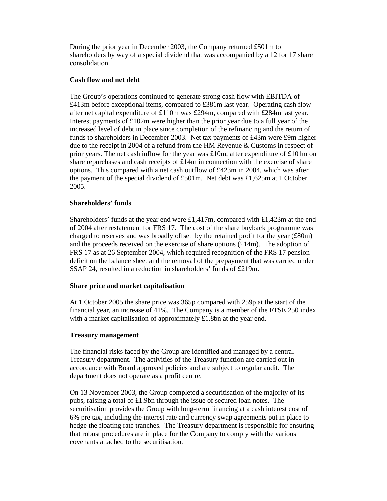During the prior year in December 2003, the Company returned £501m to shareholders by way of a special dividend that was accompanied by a 12 for 17 share consolidation.

# **Cash flow and net debt**

The Group's operations continued to generate strong cash flow with EBITDA of £413m before exceptional items, compared to £381m last year. Operating cash flow after net capital expenditure of £110m was £294m, compared with £284m last year. Interest payments of £102m were higher than the prior year due to a full year of the increased level of debt in place since completion of the refinancing and the return of funds to shareholders in December 2003. Net tax payments of £43m were £9m higher due to the receipt in 2004 of a refund from the HM Revenue & Customs in respect of prior years. The net cash inflow for the year was £10m, after expenditure of £101m on share repurchases and cash receipts of £14m in connection with the exercise of share options. This compared with a net cash outflow of £423m in 2004, which was after the payment of the special dividend of £501m. Net debt was £1,625m at 1 October 2005.

# **Shareholders' funds**

Shareholders' funds at the year end were £1,417m, compared with £1,423m at the end of 2004 after restatement for FRS 17. The cost of the share buyback programme was charged to reserves and was broadly offset by the retained profit for the year (£80m) and the proceeds received on the exercise of share options  $(\text{\textsterling}14m)$ . The adoption of FRS 17 as at 26 September 2004, which required recognition of the FRS 17 pension deficit on the balance sheet and the removal of the prepayment that was carried under SSAP 24, resulted in a reduction in shareholders' funds of £219m.

# **Share price and market capitalisation**

At 1 October 2005 the share price was 365p compared with 259p at the start of the financial year, an increase of 41%. The Company is a member of the FTSE 250 index with a market capitalisation of approximately £1.8bn at the year end.

# **Treasury management**

The financial risks faced by the Group are identified and managed by a central Treasury department. The activities of the Treasury function are carried out in accordance with Board approved policies and are subject to regular audit. The department does not operate as a profit centre.

On 13 November 2003, the Group completed a securitisation of the majority of its pubs, raising a total of £1.9bn through the issue of secured loan notes. The securitisation provides the Group with long-term financing at a cash interest cost of 6% pre tax, including the interest rate and currency swap agreements put in place to hedge the floating rate tranches. The Treasury department is responsible for ensuring that robust procedures are in place for the Company to comply with the various covenants attached to the securitisation.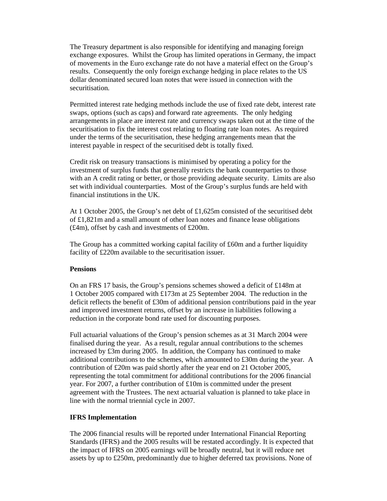The Treasury department is also responsible for identifying and managing foreign exchange exposures. Whilst the Group has limited operations in Germany, the impact of movements in the Euro exchange rate do not have a material effect on the Group's results. Consequently the only foreign exchange hedging in place relates to the US dollar denominated secured loan notes that were issued in connection with the securitisation.

Permitted interest rate hedging methods include the use of fixed rate debt, interest rate swaps, options (such as caps) and forward rate agreements. The only hedging arrangements in place are interest rate and currency swaps taken out at the time of the securitisation to fix the interest cost relating to floating rate loan notes. As required under the terms of the securitisation, these hedging arrangements mean that the interest payable in respect of the securitised debt is totally fixed.

Credit risk on treasury transactions is minimised by operating a policy for the investment of surplus funds that generally restricts the bank counterparties to those with an A credit rating or better, or those providing adequate security. Limits are also set with individual counterparties. Most of the Group's surplus funds are held with financial institutions in the UK.

At 1 October 2005, the Group's net debt of £1,625m consisted of the securitised debt of £1,821m and a small amount of other loan notes and finance lease obligations (£4m), offset by cash and investments of £200m.

The Group has a committed working capital facility of  $£60m$  and a further liquidity facility of £220m available to the securitisation issuer.

## **Pensions**

On an FRS 17 basis, the Group's pensions schemes showed a deficit of £148m at 1 October 2005 compared with £173m at 25 September 2004. The reduction in the deficit reflects the benefit of £30m of additional pension contributions paid in the year and improved investment returns, offset by an increase in liabilities following a reduction in the corporate bond rate used for discounting purposes.

Full actuarial valuations of the Group's pension schemes as at 31 March 2004 were finalised during the year. As a result, regular annual contributions to the schemes increased by £3m during 2005. In addition, the Company has continued to make additional contributions to the schemes, which amounted to £30m during the year. A contribution of £20m was paid shortly after the year end on 21 October 2005, representing the total commitment for additional contributions for the 2006 financial year. For 2007, a further contribution of  $£10m$  is committed under the present agreement with the Trustees. The next actuarial valuation is planned to take place in line with the normal triennial cycle in 2007.

## **IFRS Implementation**

The 2006 financial results will be reported under International Financial Reporting Standards (IFRS) and the 2005 results will be restated accordingly. It is expected that the impact of IFRS on 2005 earnings will be broadly neutral, but it will reduce net assets by up to £250m, predominantly due to higher deferred tax provisions. None of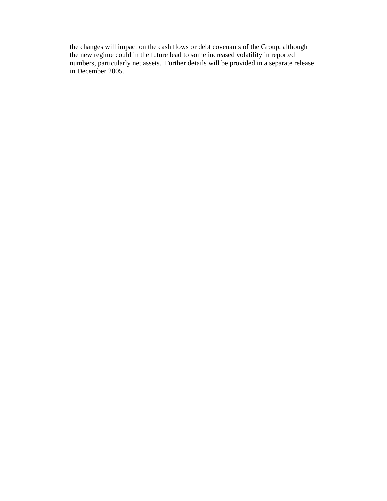the changes will impact on the cash flows or debt covenants of the Group, although the new regime could in the future lead to some increased volatility in reported numbers, particularly net assets. Further details will be provided in a separate release in December 2005.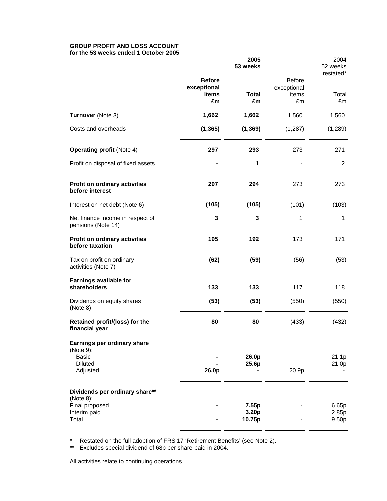#### **GROUP PROFIT AND LOSS ACCOUNT for the 53 weeks ended 1 October 2005**

|                                                                                        |                                             | 2005<br>53 weeks         |                                      | 2004<br>52 weeks<br>restated*       |
|----------------------------------------------------------------------------------------|---------------------------------------------|--------------------------|--------------------------------------|-------------------------------------|
|                                                                                        | <b>Before</b><br>exceptional<br>items<br>£m | <b>Total</b><br>£m       | Before<br>exceptional<br>items<br>£m | Total<br>£m                         |
| Turnover (Note 3)                                                                      | 1,662                                       | 1,662                    | 1,560                                | 1,560                               |
| Costs and overheads                                                                    | (1, 365)                                    | (1, 369)                 | (1, 287)                             | (1,289)                             |
| <b>Operating profit (Note 4)</b>                                                       | 297                                         | 293                      | 273                                  | 271                                 |
| Profit on disposal of fixed assets                                                     |                                             | 1                        |                                      | $\overline{2}$                      |
| Profit on ordinary activities<br>before interest                                       | 297                                         | 294                      | 273                                  | 273                                 |
| Interest on net debt (Note 6)                                                          | (105)                                       | (105)                    | (101)                                | (103)                               |
| Net finance income in respect of<br>pensions (Note 14)                                 | 3                                           | 3                        | 1                                    | $\mathbf{1}$                        |
| Profit on ordinary activities<br>before taxation                                       | 195                                         | 192                      | 173                                  | 171                                 |
| Tax on profit on ordinary<br>activities (Note 7)                                       | (62)                                        | (59)                     | (56)                                 | (53)                                |
| Earnings available for<br>shareholders                                                 | 133                                         | 133                      | 117                                  | 118                                 |
| Dividends on equity shares<br>(Note 8)                                                 | (53)                                        | (53)                     | (550)                                | (550)                               |
| Retained profit/(loss) for the<br>financial year                                       | 80                                          | 80                       | (433)                                | (432)                               |
| Earnings per ordinary share<br>(Note 9):<br><b>Basic</b><br><b>Diluted</b><br>Adjusted | 26.0p                                       | 26.0p<br>25.6p           | 20.9p                                | 21.1p<br>21.0p                      |
| Dividends per ordinary share**<br>(Note 8):<br>Final proposed<br>Interim paid<br>Total |                                             | 7.55p<br>3.20p<br>10.75p |                                      | 6.65p<br>2.85p<br>9.50 <sub>p</sub> |

\* Restated on the full adoption of FRS 17 'Retirement Benefits' (see Note 2).

\*\* Excludes special dividend of 68p per share paid in 2004.

All activities relate to continuing operations.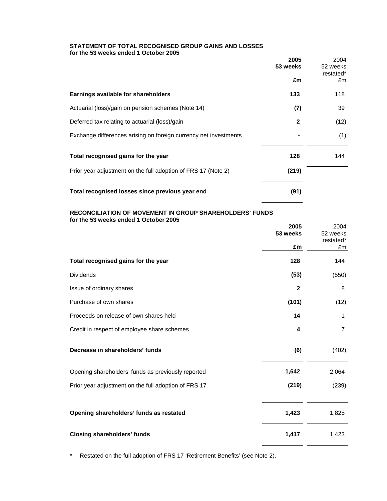#### **STATEMENT OF TOTAL RECOGNISED GROUP GAINS AND LOSSES for the 53 weeks ended 1 October 2005**

|                                                                  | 2005<br>53 weeks | 2004<br>52 weeks<br>restated* |
|------------------------------------------------------------------|------------------|-------------------------------|
|                                                                  | £m               | £m                            |
| Earnings available for shareholders                              | 133              | 118                           |
| Actuarial (loss)/gain on pension schemes (Note 14)               | (7)              | 39                            |
| Deferred tax relating to actuarial (loss)/gain                   | $\mathbf{2}$     | (12)                          |
| Exchange differences arising on foreign currency net investments |                  | (1)                           |
| Total recognised gains for the year                              | 128              | 144                           |
| Prior year adjustment on the full adoption of FRS 17 (Note 2)    | (219)            |                               |
| Total recognised losses since previous year end                  | (91)             |                               |

## **RECONCILIATION OF MOVEMENT IN GROUP SHAREHOLDERS' FUNDS for the 53 weeks ended 1 October 2005**

|                                                      | 2005         | 2004           |
|------------------------------------------------------|--------------|----------------|
|                                                      | 53 weeks     | 52 weeks       |
|                                                      |              | restated*      |
|                                                      | £m           | £m             |
| Total recognised gains for the year                  | 128          | 144            |
| <b>Dividends</b>                                     | (53)         | (550)          |
| Issue of ordinary shares                             | $\mathbf{2}$ | 8              |
| Purchase of own shares                               | (101)        | (12)           |
| Proceeds on release of own shares held               | 14           | 1              |
| Credit in respect of employee share schemes          | 4            | $\overline{7}$ |
| Decrease in shareholders' funds                      | (6)          | (402)          |
| Opening shareholders' funds as previously reported   | 1,642        | 2,064          |
| Prior year adjustment on the full adoption of FRS 17 | (219)        | (239)          |
| Opening shareholders' funds as restated              | 1,423        | 1,825          |
| <b>Closing shareholders' funds</b>                   | 1,417        | 1,423          |

\* Restated on the full adoption of FRS 17 'Retirement Benefits' (see Note 2).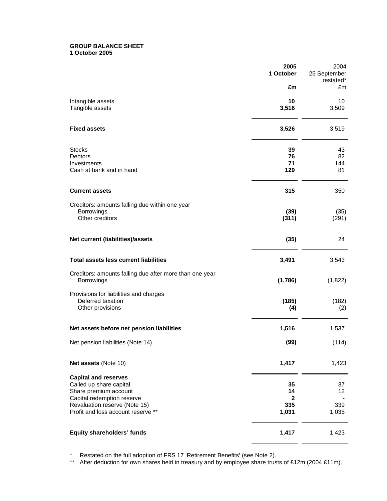#### **GROUP BALANCE SHEET 1 October 2005**

|                                                                                                               | 2005<br>1 October        | 2004<br>25 September<br>restated* |
|---------------------------------------------------------------------------------------------------------------|--------------------------|-----------------------------------|
|                                                                                                               | £m                       | £m                                |
| Intangible assets<br>Tangible assets                                                                          | 10<br>3,516              | 10<br>3,509                       |
| <b>Fixed assets</b>                                                                                           | 3,526                    | 3,519                             |
| <b>Stocks</b><br><b>Debtors</b>                                                                               | 39<br>76                 | 43<br>82                          |
| Investments<br>Cash at bank and in hand                                                                       | 71<br>129                | 144<br>81                         |
| <b>Current assets</b>                                                                                         | 315                      | 350                               |
| Creditors: amounts falling due within one year<br>Borrowings<br>Other creditors                               | (39)<br>(311)            | (35)<br>(291)                     |
| Net current (liabilities)/assets                                                                              | (35)                     | 24                                |
| <b>Total assets less current liabilities</b>                                                                  | 3,491                    | 3,543                             |
| Creditors: amounts falling due after more than one year<br>Borrowings                                         | (1,786)                  | (1,822)                           |
| Provisions for liabilities and charges<br>Deferred taxation<br>Other provisions                               | (185)<br>(4)             | (182)<br>(2)                      |
| Net assets before net pension liabilities                                                                     | 1,516                    | 1,537                             |
| Net pension liabilities (Note 14)                                                                             | (99)                     | (114)                             |
| Net assets (Note 10)                                                                                          | 1,417                    | 1,423                             |
| <b>Capital and reserves</b><br>Called up share capital<br>Share premium account<br>Capital redemption reserve | 35<br>14<br>$\mathbf{2}$ | 37<br>12                          |
| Revaluation reserve (Note 15)<br>Profit and loss account reserve **                                           | 335<br>1,031             | 339<br>1,035                      |
| Equity shareholders' funds                                                                                    | 1,417                    | 1,423                             |

\* Restated on the full adoption of FRS 17 'Retirement Benefits' (see Note 2).

\*\* After deduction for own shares held in treasury and by employee share trusts of £12m (2004 £11m).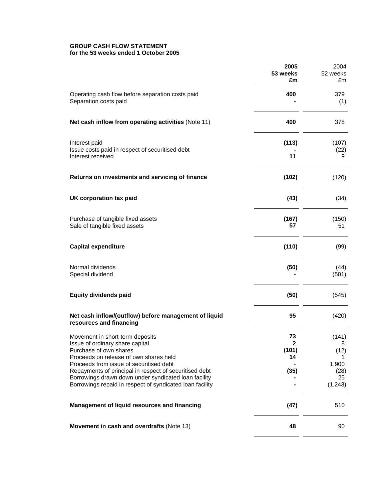#### **GROUP CASH FLOW STATEMENT for the 53 weeks ended 1 October 2005**

|                                                                                                                                                                                                                                                                                                                                                                 | 2005<br>53 weeks<br>£m                    | 2004<br>52 weeks<br>£m                                |
|-----------------------------------------------------------------------------------------------------------------------------------------------------------------------------------------------------------------------------------------------------------------------------------------------------------------------------------------------------------------|-------------------------------------------|-------------------------------------------------------|
| Operating cash flow before separation costs paid<br>Separation costs paid                                                                                                                                                                                                                                                                                       | 400                                       | 379<br>(1)                                            |
| Net cash inflow from operating activities (Note 11)                                                                                                                                                                                                                                                                                                             | 400                                       | 378                                                   |
| Interest paid<br>Issue costs paid in respect of securitised debt<br>Interest received                                                                                                                                                                                                                                                                           | (113)<br>11                               | (107)<br>(22)<br>9                                    |
| Returns on investments and servicing of finance                                                                                                                                                                                                                                                                                                                 | (102)                                     | (120)                                                 |
| UK corporation tax paid                                                                                                                                                                                                                                                                                                                                         | (43)                                      | (34)                                                  |
| Purchase of tangible fixed assets<br>Sale of tangible fixed assets                                                                                                                                                                                                                                                                                              | (167)<br>57                               | (150)<br>51                                           |
| <b>Capital expenditure</b>                                                                                                                                                                                                                                                                                                                                      | (110)                                     | (99)                                                  |
| Normal dividends<br>Special dividend                                                                                                                                                                                                                                                                                                                            | (50)                                      | (44)<br>(501)                                         |
| <b>Equity dividends paid</b>                                                                                                                                                                                                                                                                                                                                    | (50)                                      | (545)                                                 |
| Net cash inflow/(outflow) before management of liquid<br>resources and financing                                                                                                                                                                                                                                                                                | 95                                        | (420)                                                 |
| Movement in short-term deposits<br>Issue of ordinary share capital<br>Purchase of own shares<br>Proceeds on release of own shares held<br>Proceeds from issue of securitised debt<br>Repayments of principal in respect of securitised debt<br>Borrowings drawn down under syndicated loan facility<br>Borrowings repaid in respect of syndicated loan facility | 73<br>$\mathbf{2}$<br>(101)<br>14<br>(35) | (141)<br>8<br>(12)<br>1,900<br>(28)<br>25<br>(1, 243) |
| Management of liquid resources and financing                                                                                                                                                                                                                                                                                                                    | (47)                                      | 510                                                   |
| Movement in cash and overdrafts (Note 13)                                                                                                                                                                                                                                                                                                                       | 48                                        | 90                                                    |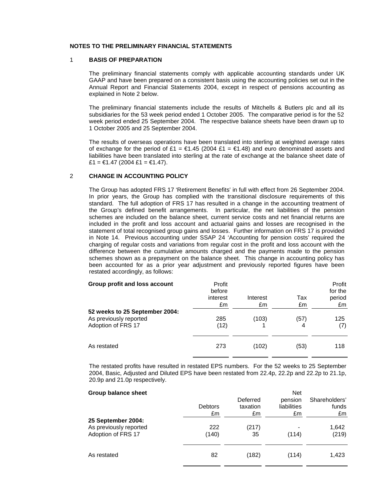#### **NOTES TO THE PRELIMINARY FINANCIAL STATEMENTS**

#### 1 **BASIS OF PREPARATION**

 The preliminary financial statements comply with applicable accounting standards under UK GAAP and have been prepared on a consistent basis using the accounting policies set out in the Annual Report and Financial Statements 2004, except in respect of pensions accounting as explained in Note 2 below.

 The preliminary financial statements include the results of Mitchells & Butlers plc and all its subsidiaries for the 53 week period ended 1 October 2005. The comparative period is for the 52 week period ended 25 September 2004. The respective balance sheets have been drawn up to 1 October 2005 and 25 September 2004.

 The results of overseas operations have been translated into sterling at weighted average rates of exchange for the period of £1 =  $\epsilon$ 1.45 (2004 £1 =  $\epsilon$ 1.48) and euro denominated assets and liabilities have been translated into sterling at the rate of exchange at the balance sheet date of £1 = €1.47 (2004 £1 = €1.47).

#### 2 **CHANGE IN ACCOUNTING POLICY**

 The Group has adopted FRS 17 'Retirement Benefits' in full with effect from 26 September 2004. In prior years, the Group has complied with the transitional disclosure requirements of this standard. The full adoption of FRS 17 has resulted in a change in the accounting treatment of the Group's defined benefit arrangements. In particular, the net liabilities of the pension schemes are included on the balance sheet, current service costs and net financial returns are included in the profit and loss account and actuarial gains and losses are recognised in the statement of total recognised group gains and losses. Further information on FRS 17 is provided in Note 14. Previous accounting under SSAP 24 'Accounting for pension costs' required the charging of regular costs and variations from regular cost in the profit and loss account with the difference between the cumulative amounts charged and the payments made to the pension schemes shown as a prepayment on the balance sheet. This change in accounting policy has been accounted for as a prior year adjustment and previously reported figures have been restated accordingly, as follows:

| Group profit and loss account                                                  | Profit<br>before<br>interest<br>£m | Interest<br>£m | Tax<br>£m | Profit<br>for the<br>period<br>£m |
|--------------------------------------------------------------------------------|------------------------------------|----------------|-----------|-----------------------------------|
| 52 weeks to 25 September 2004:<br>As previously reported<br>Adoption of FRS 17 | 285<br>(12)                        | (103)          | (57)<br>4 | 125<br>(7)                        |
| As restated                                                                    | 273                                | (102)          | (53)      | 118                               |

 The restated profits have resulted in restated EPS numbers. For the 52 weeks to 25 September 2004, Basic, Adjusted and Diluted EPS have been restated from 22.4p, 22.2p and 22.2p to 21.1p, 20.9p and 21.0p respectively.

| <b>Group balance sheet</b> |                      | Deferred       | <b>Net</b><br>pension | Shareholders' |
|----------------------------|----------------------|----------------|-----------------------|---------------|
|                            | <b>Debtors</b><br>£m | taxation<br>£m | liabilities<br>£m     | funds<br>£m   |
| 25 September 2004:         |                      |                |                       |               |
| As previously reported     | 222                  | (217)          |                       | 1,642         |
| Adoption of FRS 17         | (140)                | 35             | (114)                 | (219)         |
| As restated                | 82                   | (182)          | (114)                 | 1,423         |
|                            |                      |                |                       |               |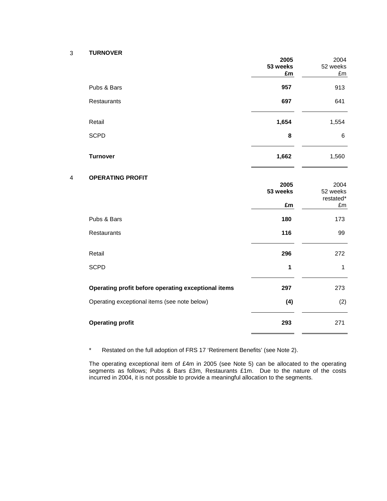# 3 **TURNOVER**

 $\overline{4}$ 

| 2005<br>53 weeks<br>£m | 2004<br>52 weeks<br>£m        |
|------------------------|-------------------------------|
| 957                    | 913                           |
| 697                    | 641                           |
| 1,654                  | 1,554                         |
| 8                      | $\,6\,$                       |
| 1,662                  | 1,560                         |
| 2005<br>53 weeks       | 2004<br>52 weeks<br>restated* |
| £m                     | £m                            |
| 180                    | 173                           |
| 116                    | 99                            |
| 296                    | 272                           |
| $\mathbf{1}$           | $\mathbf{1}$                  |
| 297                    | 273                           |
| (4)                    | (2)                           |
| 293                    | 271                           |
|                        |                               |

\* Restated on the full adoption of FRS 17 'Retirement Benefits' (see Note 2).

 The operating exceptional item of £4m in 2005 (see Note 5) can be allocated to the operating segments as follows; Pubs & Bars £3m, Restaurants £1m. Due to the nature of the costs incurred in 2004, it is not possible to provide a meaningful allocation to the segments.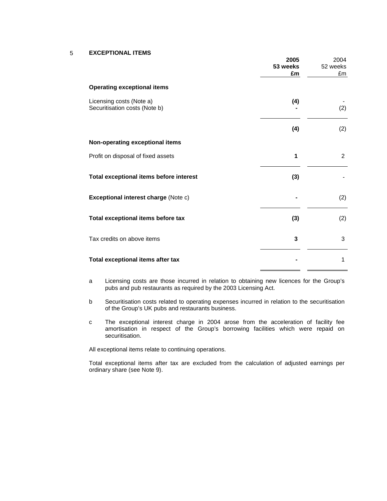## 5 **EXCEPTIONAL ITEMS**

|                                                           | 2005<br>53 weeks<br>£m | 2004<br>52 weeks<br>£m |
|-----------------------------------------------------------|------------------------|------------------------|
| <b>Operating exceptional items</b>                        |                        |                        |
| Licensing costs (Note a)<br>Securitisation costs (Note b) | (4)                    | (2)                    |
|                                                           | (4)                    | (2)                    |
| Non-operating exceptional items                           |                        |                        |
| Profit on disposal of fixed assets                        | 1                      | $\overline{2}$         |
| Total exceptional items before interest                   | (3)                    |                        |
| Exceptional interest charge (Note c)                      |                        | (2)                    |
| Total exceptional items before tax                        | (3)                    | (2)                    |
| Tax credits on above items                                | 3                      | 3                      |
| Total exceptional items after tax                         |                        | 1                      |

- a Licensing costs are those incurred in relation to obtaining new licences for the Group's pubs and pub restaurants as required by the 2003 Licensing Act.
- b Securitisation costs related to operating expenses incurred in relation to the securitisation of the Group's UK pubs and restaurants business.
- c The exceptional interest charge in 2004 arose from the acceleration of facility fee amortisation in respect of the Group's borrowing facilities which were repaid on securitisation.

All exceptional items relate to continuing operations.

 Total exceptional items after tax are excluded from the calculation of adjusted earnings per ordinary share (see Note 9).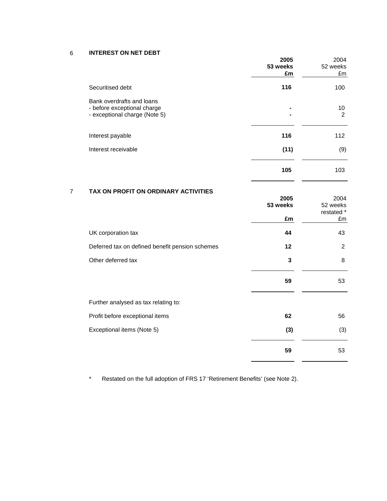6 **INTEREST ON NET DEBT**

|                                                                                           | 2005<br>53 weeks<br>£m | 2004<br>52 weeks<br>£m               |
|-------------------------------------------------------------------------------------------|------------------------|--------------------------------------|
| Securitised debt                                                                          | 116                    | 100                                  |
| Bank overdrafts and loans<br>- before exceptional charge<br>- exceptional charge (Note 5) |                        | 10<br>$\overline{2}$                 |
| Interest payable                                                                          | 116                    | 112                                  |
| Interest receivable                                                                       | (11)                   | (9)                                  |
|                                                                                           | 105                    | 103                                  |
| TAX ON PROFIT ON ORDINARY ACTIVITIES<br>7                                                 | 2005<br>53 weeks<br>£m | 2004<br>52 weeks<br>restated *<br>£m |
| UK corporation tax                                                                        | 44                     | 43                                   |
| Deferred tax on defined benefit pension schemes                                           | 12                     | $\overline{2}$                       |
| Other deferred tax                                                                        | 3                      | 8                                    |
|                                                                                           | 59                     | 53                                   |
| Further analysed as tax relating to:                                                      |                        |                                      |
| Profit before exceptional items                                                           | 62                     | 56                                   |
| Exceptional items (Note 5)                                                                | (3)                    | (3)                                  |
|                                                                                           | 59                     | 53                                   |

\* Restated on the full adoption of FRS 17 'Retirement Benefits' (see Note 2).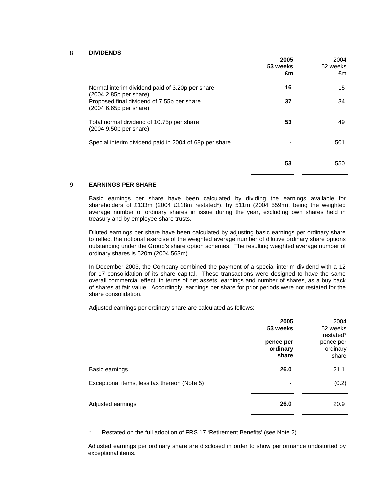## 8 **DIVIDENDS**

|                                                                           | 2005<br>53 weeks<br>£m | 2004<br>52 weeks<br>£m |
|---------------------------------------------------------------------------|------------------------|------------------------|
| Normal interim dividend paid of 3.20p per share<br>(2004 2.85p per share) | 16                     | 15                     |
| Proposed final dividend of 7.55p per share<br>(2004 6.65p per share)      | 37                     | 34                     |
| Total normal dividend of 10.75p per share<br>(2004 9.50p per share)       | 53                     | 49                     |
| Special interim dividend paid in 2004 of 68p per share                    |                        | 501                    |
|                                                                           | 53                     | 550                    |

## 9 **EARNINGS PER SHARE**

 Basic earnings per share have been calculated by dividing the earnings available for shareholders of £133m (2004 £118m restated\*), by 511m (2004 559m), being the weighted average number of ordinary shares in issue during the year, excluding own shares held in treasury and by employee share trusts.

 Diluted earnings per share have been calculated by adjusting basic earnings per ordinary share to reflect the notional exercise of the weighted average number of dilutive ordinary share options outstanding under the Group's share option schemes. The resulting weighted average number of ordinary shares is 520m (2004 563m).

 In December 2003, the Company combined the payment of a special interim dividend with a 12 for 17 consolidation of its share capital. These transactions were designed to have the same overall commercial effect, in terms of net assets, earnings and number of shares, as a buy back of shares at fair value. Accordingly, earnings per share for prior periods were not restated for the share consolidation.

Adjusted earnings per ordinary share are calculated as follows:

|                                              | 2005<br>53 weeks               | 2004<br>52 weeks<br>restated*  |
|----------------------------------------------|--------------------------------|--------------------------------|
|                                              | pence per<br>ordinary<br>share | pence per<br>ordinary<br>share |
| Basic earnings                               | 26.0                           | 21.1                           |
| Exceptional items, less tax thereon (Note 5) | ۰                              | (0.2)                          |
| Adjusted earnings                            | 26.0                           | 20.9                           |

\* Restated on the full adoption of FRS 17 'Retirement Benefits' (see Note 2).

 Adjusted earnings per ordinary share are disclosed in order to show performance undistorted by exceptional items.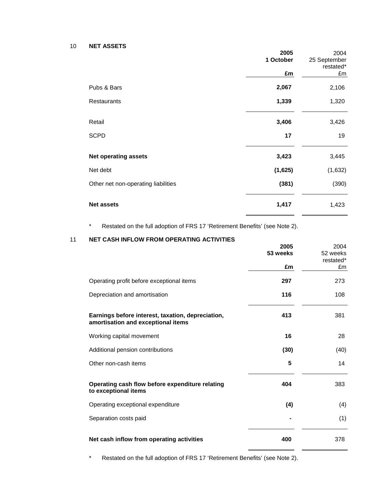10 **NET ASSETS** 

|                                     | 2005      | 2004         |
|-------------------------------------|-----------|--------------|
|                                     | 1 October | 25 September |
|                                     |           | restated*    |
|                                     | £m        | £m           |
| Pubs & Bars                         | 2,067     | 2,106        |
| Restaurants                         | 1,339     | 1,320        |
| Retail                              | 3,406     | 3,426        |
| <b>SCPD</b>                         | 17        | 19           |
| <b>Net operating assets</b>         | 3,423     | 3,445        |
| Net debt                            | (1,625)   | (1,632)      |
| Other net non-operating liabilities | (381)     | (390)        |
| <b>Net assets</b>                   | 1,417     | 1,423        |

\* Restated on the full adoption of FRS 17 'Retirement Benefits' (see Note 2).

## 11 **NET CASH INFLOW FROM OPERATING ACTIVITIES**

|                                                                                         | 2005<br>53 weeks | 2004<br>52 weeks<br>restated* |
|-----------------------------------------------------------------------------------------|------------------|-------------------------------|
|                                                                                         | £m               | £m                            |
| Operating profit before exceptional items                                               | 297              | 273                           |
| Depreciation and amortisation                                                           | 116              | 108                           |
| Earnings before interest, taxation, depreciation,<br>amortisation and exceptional items | 413              | 381                           |
| Working capital movement                                                                | 16               | 28                            |
| Additional pension contributions                                                        | (30)             | (40)                          |
| Other non-cash items                                                                    | 5                | 14                            |
| Operating cash flow before expenditure relating<br>to exceptional items                 | 404              | 383                           |
| Operating exceptional expenditure                                                       | (4)              | (4)                           |
| Separation costs paid                                                                   |                  | (1)                           |
| Net cash inflow from operating activities                                               | 400              | 378                           |
|                                                                                         |                  |                               |

\* Restated on the full adoption of FRS 17 'Retirement Benefits' (see Note 2).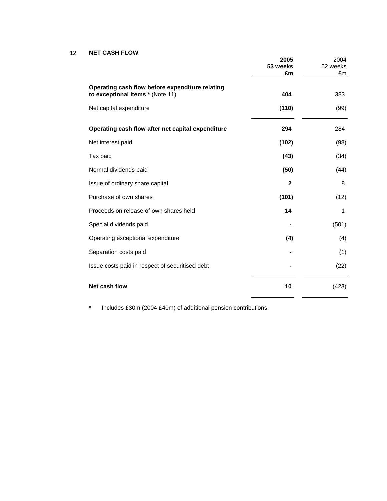#### $12$ **NET CASH FLOW**

|                                                                                     | 2005<br>53 weeks<br>£m | 2004<br>52 weeks<br>£m |
|-------------------------------------------------------------------------------------|------------------------|------------------------|
| Operating cash flow before expenditure relating<br>to exceptional items * (Note 11) | 404                    | 383                    |
| Net capital expenditure                                                             | (110)                  | (99)                   |
| Operating cash flow after net capital expenditure                                   | 294                    | 284                    |
| Net interest paid                                                                   | (102)                  | (98)                   |
| Tax paid                                                                            | (43)                   | (34)                   |
| Normal dividends paid                                                               | (50)                   | (44)                   |
| Issue of ordinary share capital                                                     | $\mathbf{2}$           | 8                      |
| Purchase of own shares                                                              | (101)                  | (12)                   |
| Proceeds on release of own shares held                                              | 14                     | 1                      |
| Special dividends paid                                                              |                        | (501)                  |
| Operating exceptional expenditure                                                   | (4)                    | (4)                    |
| Separation costs paid                                                               |                        | (1)                    |
| Issue costs paid in respect of securitised debt                                     |                        | (22)                   |
| Net cash flow                                                                       | 10                     | (423)                  |

\* Includes £30m (2004 £40m) of additional pension contributions.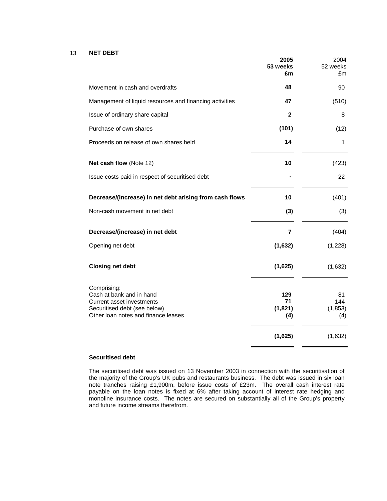#### 13 **NET DEBT**

|                                                                                                                                             | 2005<br>53 weeks<br>£m       | 2004<br>52 weeks<br>£m       |
|---------------------------------------------------------------------------------------------------------------------------------------------|------------------------------|------------------------------|
| Movement in cash and overdrafts                                                                                                             | 48                           | 90                           |
| Management of liquid resources and financing activities                                                                                     | 47                           | (510)                        |
| Issue of ordinary share capital                                                                                                             | $\mathbf{2}$                 | 8                            |
| Purchase of own shares                                                                                                                      | (101)                        | (12)                         |
| Proceeds on release of own shares held                                                                                                      | 14                           | 1                            |
| Net cash flow (Note 12)                                                                                                                     | 10                           | (423)                        |
| Issue costs paid in respect of securitised debt                                                                                             |                              | 22                           |
| Decrease/(increase) in net debt arising from cash flows                                                                                     | 10                           | (401)                        |
| Non-cash movement in net debt                                                                                                               | (3)                          | (3)                          |
| Decrease/(increase) in net debt                                                                                                             | $\overline{7}$               | (404)                        |
| Opening net debt                                                                                                                            | (1,632)                      | (1,228)                      |
| <b>Closing net debt</b>                                                                                                                     | (1,625)                      | (1,632)                      |
| Comprising:<br>Cash at bank and in hand<br>Current asset investments<br>Securitised debt (see below)<br>Other loan notes and finance leases | 129<br>71<br>(1, 821)<br>(4) | 81<br>144<br>(1, 853)<br>(4) |
|                                                                                                                                             | (1,625)                      | (1,632)                      |
|                                                                                                                                             |                              |                              |

#### **Securitised debt**

 The securitised debt was issued on 13 November 2003 in connection with the securitisation of the majority of the Group's UK pubs and restaurants business. The debt was issued in six loan note tranches raising £1,900m, before issue costs of £23m. The overall cash interest rate payable on the loan notes is fixed at 6% after taking account of interest rate hedging and monoline insurance costs. The notes are secured on substantially all of the Group's property and future income streams therefrom.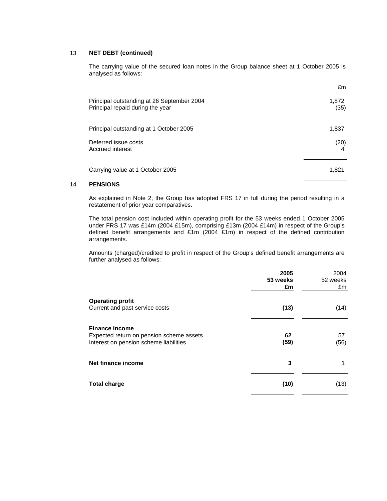## 13 **NET DEBT (continued)**

 The carrying value of the secured loan notes in the Group balance sheet at 1 October 2005 is analysed as follows:

|                                                                                | £m            |
|--------------------------------------------------------------------------------|---------------|
| Principal outstanding at 26 September 2004<br>Principal repaid during the year | 1,872<br>(35) |
| Principal outstanding at 1 October 2005                                        | 1,837         |
| Deferred issue costs<br>Accrued interest                                       | (20)<br>4     |
| Carrying value at 1 October 2005                                               | 1,821         |

## 14 **PENSIONS**

 As explained in Note 2, the Group has adopted FRS 17 in full during the period resulting in a restatement of prior year comparatives.

The total pension cost included within operating profit for the 53 weeks ended 1 October 2005 under FRS 17 was £14m (2004 £15m), comprising £13m (2004 £14m) in respect of the Group's defined benefit arrangements and £1m (2004 £1m) in respect of the defined contribution arrangements.

Amounts (charged)/credited to profit in respect of the Group's defined benefit arrangements are further analysed as follows:

|                                                                                                             | 2005<br>53 weeks<br>£m | 2004<br>52 weeks<br>£m |
|-------------------------------------------------------------------------------------------------------------|------------------------|------------------------|
| <b>Operating profit</b><br>Current and past service costs                                                   | (13)                   | (14)                   |
| <b>Finance income</b><br>Expected return on pension scheme assets<br>Interest on pension scheme liabilities | 62<br>(59)             | 57<br>(56)             |
| Net finance income                                                                                          | 3                      |                        |
| <b>Total charge</b>                                                                                         | (10)                   | (13)                   |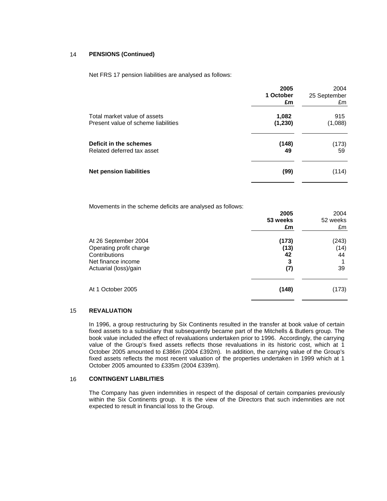#### 14 **PENSIONS (Continued)**

Net FRS 17 pension liabilities are analysed as follows:

|                                     | 2005<br>1 October<br>£m | 2004<br>25 September<br>£m |
|-------------------------------------|-------------------------|----------------------------|
| Total market value of assets        | 1,082                   | 915                        |
| Present value of scheme liabilities | (1, 230)                | (1,088)                    |
| Deficit in the schemes              | (148)                   | (173)                      |
| Related deferred tax asset          | 49                      | 59                         |
| <b>Net pension liabilities</b>      | (99)                    | (114)                      |

Movements in the scheme deficits are analysed as follows:

|                                                                                                                 | 2005<br>53 weeks<br>£m          | 2004<br>52 weeks<br>£m    |
|-----------------------------------------------------------------------------------------------------------------|---------------------------------|---------------------------|
| At 26 September 2004<br>Operating profit charge<br>Contributions<br>Net finance income<br>Actuarial (loss)/gain | (173)<br>(13)<br>42<br>3<br>(7) | (243)<br>(14)<br>44<br>39 |
| At 1 October 2005                                                                                               | (148)                           | (173)                     |

#### 15 **REVALUATION**

 In 1996, a group restructuring by Six Continents resulted in the transfer at book value of certain fixed assets to a subsidiary that subsequently became part of the Mitchells & Butlers group. The book value included the effect of revaluations undertaken prior to 1996. Accordingly, the carrying value of the Group's fixed assets reflects those revaluations in its historic cost, which at 1 October 2005 amounted to £386m (2004 £392m). In addition, the carrying value of the Group's fixed assets reflects the most recent valuation of the properties undertaken in 1999 which at 1 October 2005 amounted to £335m (2004 £339m).

#### 16 **CONTINGENT LIABILITIES**

 The Company has given indemnities in respect of the disposal of certain companies previously within the Six Continents group. It is the view of the Directors that such indemnities are not expected to result in financial loss to the Group.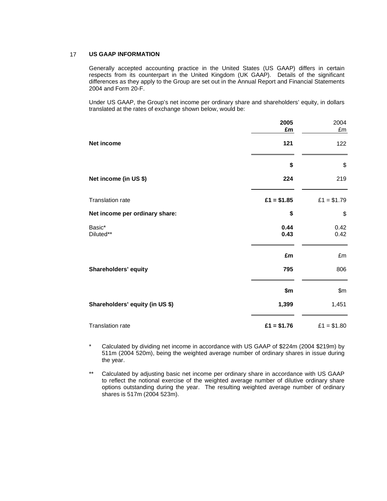#### 17 **US GAAP INFORMATION**

 Generally accepted accounting practice in the United States (US GAAP) differs in certain respects from its counterpart in the United Kingdom (UK GAAP). Details of the significant differences as they apply to the Group are set out in the Annual Report and Financial Statements 2004 and Form 20-F.

 Under US GAAP, the Group's net income per ordinary share and shareholders' equity, in dollars translated at the rates of exchange shown below, would be:

|                                 | 2005<br>£m   | 2004<br>£m   |
|---------------------------------|--------------|--------------|
| Net income                      | 121          | 122          |
|                                 | \$           | \$           |
| Net income (in US \$)           | 224          | 219          |
| Translation rate                | $£1 = $1.85$ | $£1 = $1.79$ |
| Net income per ordinary share:  | \$           | \$           |
| Basic*<br>Diluted**             | 0.44<br>0.43 | 0.42<br>0.42 |
|                                 | £m           | £m           |
| Shareholders' equity            | 795          | 806          |
|                                 | \$m          | \$m\$        |
| Shareholders' equity (in US \$) | 1,399        | 1,451        |
| Translation rate                | $£1 = $1.76$ | $£1 = $1.80$ |

 \* Calculated by dividing net income in accordance with US GAAP of \$224m (2004 \$219m) by 511m (2004 520m), being the weighted average number of ordinary shares in issue during the year.

\*\* Calculated by adjusting basic net income per ordinary share in accordance with US GAAP to reflect the notional exercise of the weighted average number of dilutive ordinary share options outstanding during the year. The resulting weighted average number of ordinary shares is 517m (2004 523m).